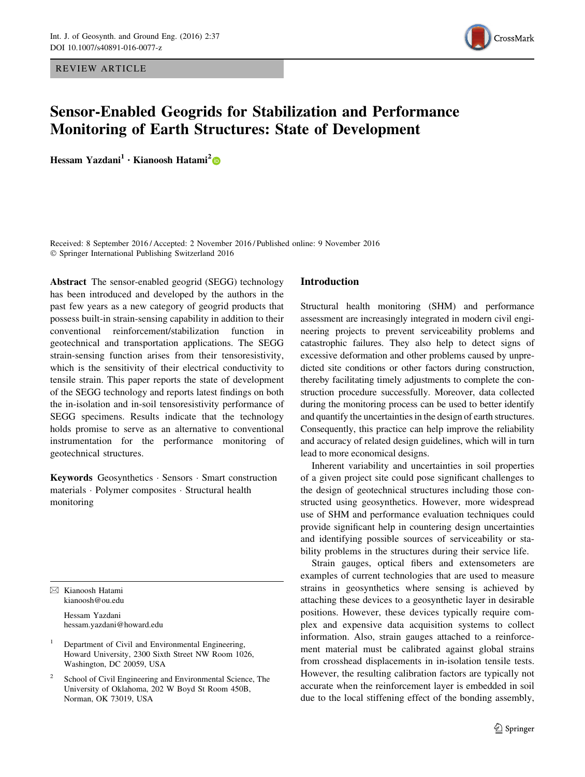REVIEW ARTICLE



# Sensor-Enabled Geogrids for Stabilization and Performance Monitoring of Earth Structures: State of Development

Hessam Yazdani<sup>1</sup> • Kianoosh Hatami<sup>2</sup>

Received: 8 September 2016 / Accepted: 2 November 2016 / Published online: 9 November 2016 - Springer International Publishing Switzerland 2016

Abstract The sensor-enabled geogrid (SEGG) technology has been introduced and developed by the authors in the past few years as a new category of geogrid products that possess built-in strain-sensing capability in addition to their conventional reinforcement/stabilization function in geotechnical and transportation applications. The SEGG strain-sensing function arises from their tensoresistivity, which is the sensitivity of their electrical conductivity to tensile strain. This paper reports the state of development of the SEGG technology and reports latest findings on both the in-isolation and in-soil tensoresistivity performance of SEGG specimens. Results indicate that the technology holds promise to serve as an alternative to conventional instrumentation for the performance monitoring of geotechnical structures.

Keywords Geosynthetics - Sensors - Smart construction materials - Polymer composites - Structural health monitoring

& Kianoosh Hatami kianoosh@ou.edu

> Hessam Yazdani hessam.yazdani@howard.edu

<sup>1</sup> Department of Civil and Environmental Engineering, Howard University, 2300 Sixth Street NW Room 1026, Washington, DC 20059, USA

School of Civil Engineering and Environmental Science, The University of Oklahoma, 202 W Boyd St Room 450B, Norman, OK 73019, USA

### Introduction

Structural health monitoring (SHM) and performance assessment are increasingly integrated in modern civil engineering projects to prevent serviceability problems and catastrophic failures. They also help to detect signs of excessive deformation and other problems caused by unpredicted site conditions or other factors during construction, thereby facilitating timely adjustments to complete the construction procedure successfully. Moreover, data collected during the monitoring process can be used to better identify and quantify the uncertainties in the design of earth structures. Consequently, this practice can help improve the reliability and accuracy of related design guidelines, which will in turn lead to more economical designs.

Inherent variability and uncertainties in soil properties of a given project site could pose significant challenges to the design of geotechnical structures including those constructed using geosynthetics. However, more widespread use of SHM and performance evaluation techniques could provide significant help in countering design uncertainties and identifying possible sources of serviceability or stability problems in the structures during their service life.

Strain gauges, optical fibers and extensometers are examples of current technologies that are used to measure strains in geosynthetics where sensing is achieved by attaching these devices to a geosynthetic layer in desirable positions. However, these devices typically require complex and expensive data acquisition systems to collect information. Also, strain gauges attached to a reinforcement material must be calibrated against global strains from crosshead displacements in in-isolation tensile tests. However, the resulting calibration factors are typically not accurate when the reinforcement layer is embedded in soil due to the local stiffening effect of the bonding assembly,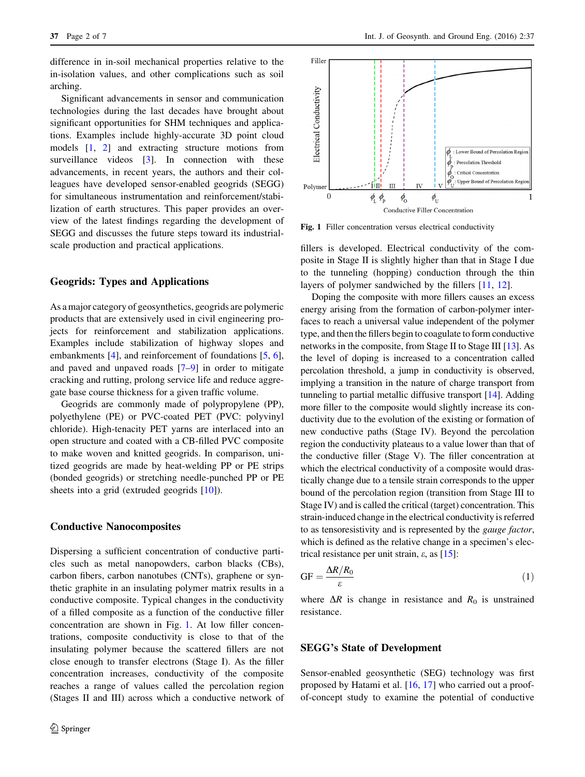<span id="page-1-0"></span>difference in in-soil mechanical properties relative to the in-isolation values, and other complications such as soil arching.

Significant advancements in sensor and communication technologies during the last decades have brought about significant opportunities for SHM techniques and applications. Examples include highly-accurate 3D point cloud models [\[1](#page-5-0), [2\]](#page-5-0) and extracting structure motions from surveillance videos  $\lceil 3 \rceil$ . In connection with these advancements, in recent years, the authors and their colleagues have developed sensor-enabled geogrids (SEGG) for simultaneous instrumentation and reinforcement/stabilization of earth structures. This paper provides an overview of the latest findings regarding the development of SEGG and discusses the future steps toward its industrialscale production and practical applications.

### Geogrids: Types and Applications

As a major category of geosynthetics, geogrids are polymeric products that are extensively used in civil engineering projects for reinforcement and stabilization applications. Examples include stabilization of highway slopes and embankments [[4\]](#page-5-0), and reinforcement of foundations [[5,](#page-5-0) [6](#page-5-0)], and paved and unpaved roads [\[7–9](#page-5-0)] in order to mitigate cracking and rutting, prolong service life and reduce aggregate base course thickness for a given traffic volume.

Geogrids are commonly made of polypropylene (PP), polyethylene (PE) or PVC-coated PET (PVC: polyvinyl chloride). High-tenacity PET yarns are interlaced into an open structure and coated with a CB-filled PVC composite to make woven and knitted geogrids. In comparison, unitized geogrids are made by heat-welding PP or PE strips (bonded geogrids) or stretching needle-punched PP or PE sheets into a grid (extruded geogrids [[10\]](#page-5-0)).

## Conductive Nanocomposites

Dispersing a sufficient concentration of conductive particles such as metal nanopowders, carbon blacks (CBs), carbon fibers, carbon nanotubes (CNTs), graphene or synthetic graphite in an insulating polymer matrix results in a conductive composite. Typical changes in the conductivity of a filled composite as a function of the conductive filler concentration are shown in Fig. 1. At low filler concentrations, composite conductivity is close to that of the insulating polymer because the scattered fillers are not close enough to transfer electrons (Stage I). As the filler concentration increases, conductivity of the composite reaches a range of values called the percolation region (Stages II and III) across which a conductive network of



Fig. 1 Filler concentration versus electrical conductivity

fillers is developed. Electrical conductivity of the composite in Stage II is slightly higher than that in Stage I due to the tunneling (hopping) conduction through the thin layers of polymer sandwiched by the fillers [[11,](#page-5-0) [12](#page-5-0)].

Doping the composite with more fillers causes an excess energy arising from the formation of carbon-polymer interfaces to reach a universal value independent of the polymer type, and then the fillers begin to coagulate to form conductive networks in the composite, from Stage II to Stage III [[13](#page-5-0)]. As the level of doping is increased to a concentration called percolation threshold, a jump in conductivity is observed, implying a transition in the nature of charge transport from tunneling to partial metallic diffusive transport [[14](#page-5-0)]. Adding more filler to the composite would slightly increase its conductivity due to the evolution of the existing or formation of new conductive paths (Stage IV). Beyond the percolation region the conductivity plateaus to a value lower than that of the conductive filler (Stage V). The filler concentration at which the electrical conductivity of a composite would drastically change due to a tensile strain corresponds to the upper bound of the percolation region (transition from Stage III to Stage IV) and is called the critical (target) concentration. This strain-induced change in the electrical conductivity is referred to as tensoresistivity and is represented by the gauge factor, which is defined as the relative change in a specimen's electrical resistance per unit strain,  $\varepsilon$ , as  $[15]$  $[15]$ :

$$
GF = \frac{\Delta R/R_0}{\varepsilon} \tag{1}
$$

where  $\Delta R$  is change in resistance and  $R_0$  is unstrained resistance.

## SEGG's State of Development

Sensor-enabled geosynthetic (SEG) technology was first proposed by Hatami et al. [[16,](#page-5-0) [17\]](#page-5-0) who carried out a proofof-concept study to examine the potential of conductive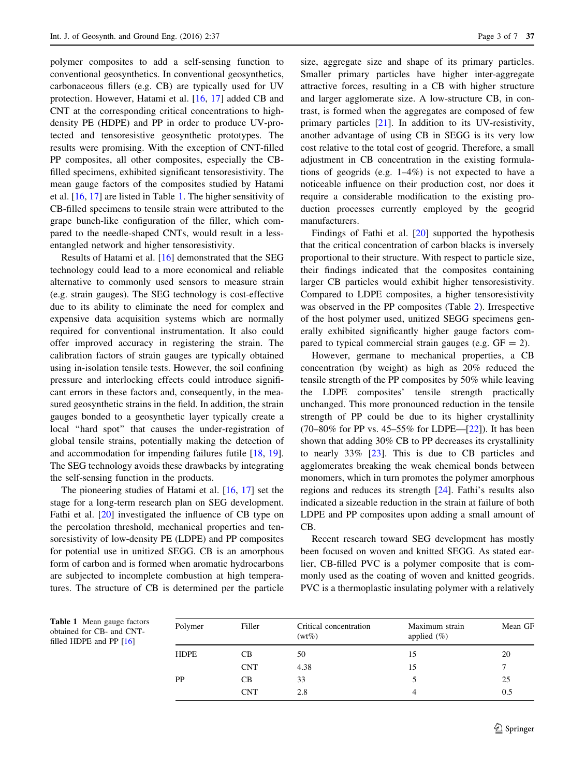polymer composites to add a self-sensing function to conventional geosynthetics. In conventional geosynthetics, carbonaceous fillers (e.g. CB) are typically used for UV protection. However, Hatami et al. [\[16,](#page-5-0) [17\]](#page-5-0) added CB and CNT at the corresponding critical concentrations to highdensity PE (HDPE) and PP in order to produce UV-protected and tensoresistive geosynthetic prototypes. The results were promising. With the exception of CNT-filled PP composites, all other composites, especially the CBfilled specimens, exhibited significant tensoresistivity. The mean gauge factors of the composites studied by Hatami et al. [\[16](#page-5-0), [17\]](#page-5-0) are listed in Table 1. The higher sensitivity of CB-filled specimens to tensile strain were attributed to the grape bunch-like configuration of the filler, which compared to the needle-shaped CNTs, would result in a lessentangled network and higher tensoresistivity.

Results of Hatami et al. [\[16](#page-5-0)] demonstrated that the SEG technology could lead to a more economical and reliable alternative to commonly used sensors to measure strain (e.g. strain gauges). The SEG technology is cost-effective due to its ability to eliminate the need for complex and expensive data acquisition systems which are normally required for conventional instrumentation. It also could offer improved accuracy in registering the strain. The calibration factors of strain gauges are typically obtained using in-isolation tensile tests. However, the soil confining pressure and interlocking effects could introduce significant errors in these factors and, consequently, in the measured geosynthetic strains in the field. In addition, the strain gauges bonded to a geosynthetic layer typically create a local ''hard spot'' that causes the under-registration of global tensile strains, potentially making the detection of and accommodation for impending failures futile [[18,](#page-6-0) [19](#page-6-0)]. The SEG technology avoids these drawbacks by integrating the self-sensing function in the products.

The pioneering studies of Hatami et al. [[16,](#page-5-0) [17\]](#page-5-0) set the stage for a long-term research plan on SEG development. Fathi et al. [\[20](#page-6-0)] investigated the influence of CB type on the percolation threshold, mechanical properties and tensoresistivity of low-density PE (LDPE) and PP composites for potential use in unitized SEGG. CB is an amorphous form of carbon and is formed when aromatic hydrocarbons are subjected to incomplete combustion at high temperatures. The structure of CB is determined per the particle size, aggregate size and shape of its primary particles. Smaller primary particles have higher inter-aggregate attractive forces, resulting in a CB with higher structure and larger agglomerate size. A low-structure CB, in contrast, is formed when the aggregates are composed of few primary particles [\[21](#page-6-0)]. In addition to its UV-resistivity, another advantage of using CB in SEGG is its very low cost relative to the total cost of geogrid. Therefore, a small adjustment in CB concentration in the existing formulations of geogrids (e.g. 1–4%) is not expected to have a noticeable influence on their production cost, nor does it require a considerable modification to the existing production processes currently employed by the geogrid manufacturers.

Findings of Fathi et al. [\[20](#page-6-0)] supported the hypothesis that the critical concentration of carbon blacks is inversely proportional to their structure. With respect to particle size, their findings indicated that the composites containing larger CB particles would exhibit higher tensoresistivity. Compared to LDPE composites, a higher tensoresistivity was observed in the PP composites (Table [2\)](#page-3-0). Irrespective of the host polymer used, unitized SEGG specimens generally exhibited significantly higher gauge factors compared to typical commercial strain gauges (e.g.  $GF = 2$ ).

However, germane to mechanical properties, a CB concentration (by weight) as high as 20% reduced the tensile strength of the PP composites by 50% while leaving the LDPE composites' tensile strength practically unchanged. This more pronounced reduction in the tensile strength of PP could be due to its higher crystallinity  $(70-80\%$  for PP vs. 45–55% for LDPE—[[22\]](#page-6-0)). It has been shown that adding 30% CB to PP decreases its crystallinity to nearly 33% [\[23](#page-6-0)]. This is due to CB particles and agglomerates breaking the weak chemical bonds between monomers, which in turn promotes the polymer amorphous regions and reduces its strength [\[24](#page-6-0)]. Fathi's results also indicated a sizeable reduction in the strain at failure of both LDPE and PP composites upon adding a small amount of CB.

Recent research toward SEG development has mostly been focused on woven and knitted SEGG. As stated earlier, CB-filled PVC is a polymer composite that is commonly used as the coating of woven and knitted geogrids. PVC is a thermoplastic insulating polymer with a relatively

| <b>Table 1</b> Mean gauge factors |
|-----------------------------------|
| obtained for CB- and CNT-         |
| filled HDPE and PP $[16]$         |

| Polymer     | Filler     | Critical concentration<br>$(wt\%)$ | Maximum strain<br>applied $(\%)$ | Mean GF |
|-------------|------------|------------------------------------|----------------------------------|---------|
| <b>HDPE</b> | CВ         | 50                                 | 15                               | 20      |
|             | <b>CNT</b> | 4.38                               | 15                               |         |
| PP          | CВ         | 33                                 | 5                                | 25      |
|             | <b>CNT</b> | 2.8                                | 4                                | 0.5     |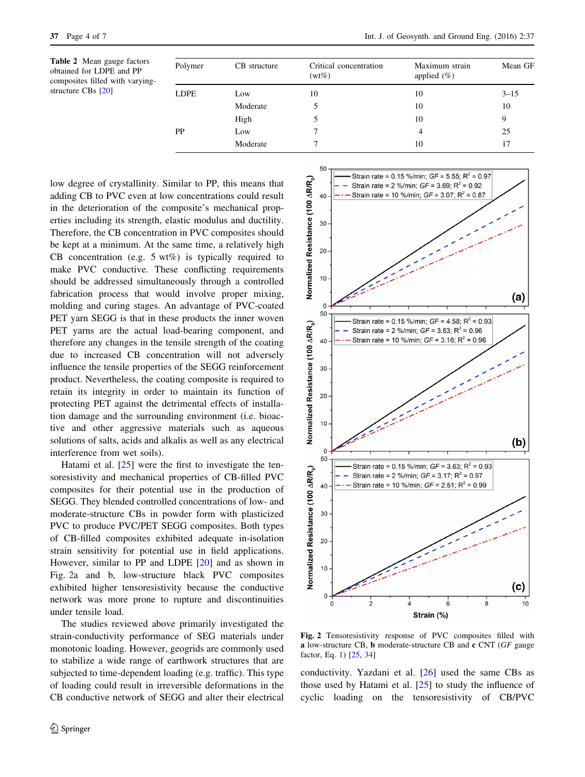<span id="page-3-0"></span>Table 2 Mean gauge factors obtained for LDPE and PP composites filled with varyingstructure CBs [[20](#page-6-0)]

| Polymer     | CB structure | Critical concentration<br>$(wt\%)$ | Maximum strain<br>applied $(\% )$ | Mean GF  |
|-------------|--------------|------------------------------------|-----------------------------------|----------|
| <b>LDPE</b> | Low          | 10                                 | 10                                | $3 - 15$ |
|             | Moderate     |                                    | 10                                | 10       |
|             | High         |                                    | 10                                | 9        |
| PP          | Low          |                                    | 4                                 | 25       |
|             | Moderate     |                                    | 10                                | 17       |

low degree of crystallinity. Similar to PP, this means that adding CB to PVC even at low concentrations could result in the deterioration of the composite's mechanical properties including its strength, elastic modulus and ductility. Therefore, the CB concentration in PVC composites should be kept at a minimum. At the same time, a relatively high CB concentration (e.g. 5 wt%) is typically required to make PVC conductive. These conflicting requirements should be addressed simultaneously through a controlled fabrication process that would involve proper mixing, molding and curing stages. An advantage of PVC-coated PET yarn SEGG is that in these products the inner woven PET yarns are the actual load-bearing component, and therefore any changes in the tensile strength of the coating due to increased CB concentration will not adversely influence the tensile properties of the SEGG reinforcement product. Nevertheless, the coating composite is required to retain its integrity in order to maintain its function of protecting PET against the detrimental effects of installation damage and the surrounding environment (i.e. bioactive and other aggressive materials such as aqueous solutions of salts, acids and alkalis as well as any electrical interference from wet soils).

Hatami et al. [\[25](#page-6-0)] were the first to investigate the tensoresistivity and mechanical properties of CB-filled PVC composites for their potential use in the production of SEGG. They blended controlled concentrations of low- and moderate-structure CBs in powder form with plasticized PVC to produce PVC/PET SEGG composites. Both types of CB-filled composites exhibited adequate in-isolation strain sensitivity for potential use in field applications. However, similar to PP and LDPE [\[20](#page-6-0)] and as shown in Fig. 2a and b, low-structure black PVC composites exhibited higher tensoresistivity because the conductive network was more prone to rupture and discontinuities under tensile load.

The studies reviewed above primarily investigated the strain-conductivity performance of SEG materials under monotonic loading. However, geogrids are commonly used to stabilize a wide range of earthwork structures that are subjected to time-dependent loading (e.g. traffic). This type of loading could result in irreversible deformations in the CB conductive network of SEGG and alter their electrical



Fig. 2 Tensoresistivity response of PVC composites filled with a low-structure CB, b moderate-structure CB and c CNT (GF gauge factor, Eq. [1\)](#page-1-0) [\[25](#page-6-0), [34\]](#page-6-0)

conductivity. Yazdani et al. [\[26](#page-6-0)] used the same CBs as those used by Hatami et al.  $[25]$  $[25]$  to study the influence of cyclic loading on the tensoresistivity of CB/PVC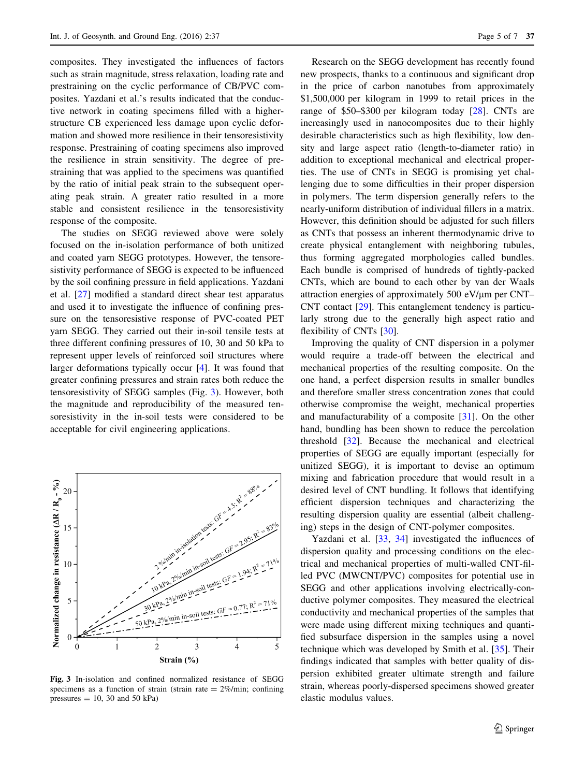composites. They investigated the influences of factors such as strain magnitude, stress relaxation, loading rate and prestraining on the cyclic performance of CB/PVC composites. Yazdani et al.'s results indicated that the conductive network in coating specimens filled with a higherstructure CB experienced less damage upon cyclic deformation and showed more resilience in their tensoresistivity response. Prestraining of coating specimens also improved the resilience in strain sensitivity. The degree of prestraining that was applied to the specimens was quantified by the ratio of initial peak strain to the subsequent operating peak strain. A greater ratio resulted in a more stable and consistent resilience in the tensoresistivity response of the composite.

The studies on SEGG reviewed above were solely focused on the in-isolation performance of both unitized and coated yarn SEGG prototypes. However, the tensoresistivity performance of SEGG is expected to be influenced by the soil confining pressure in field applications. Yazdani et al. [\[27](#page-6-0)] modified a standard direct shear test apparatus and used it to investigate the influence of confining pressure on the tensoresistive response of PVC-coated PET yarn SEGG. They carried out their in-soil tensile tests at three different confining pressures of 10, 30 and 50 kPa to represent upper levels of reinforced soil structures where larger deformations typically occur [\[4](#page-5-0)]. It was found that greater confining pressures and strain rates both reduce the tensoresistivity of SEGG samples (Fig. 3). However, both the magnitude and reproducibility of the measured tensoresistivity in the in-soil tests were considered to be acceptable for civil engineering applications.



Fig. 3 In-isolation and confined normalized resistance of SEGG specimens as a function of strain (strain rate  $= 2\% / \text{min}$ ; confining pressures  $= 10$ , 30 and 50 kPa)

Research on the SEGG development has recently found new prospects, thanks to a continuous and significant drop in the price of carbon nanotubes from approximately \$1,500,000 per kilogram in 1999 to retail prices in the range of \$50–\$300 per kilogram today [[28\]](#page-6-0). CNTs are increasingly used in nanocomposites due to their highly desirable characteristics such as high flexibility, low density and large aspect ratio (length-to-diameter ratio) in addition to exceptional mechanical and electrical properties. The use of CNTs in SEGG is promising yet challenging due to some difficulties in their proper dispersion in polymers. The term dispersion generally refers to the nearly-uniform distribution of individual fillers in a matrix. However, this definition should be adjusted for such fillers as CNTs that possess an inherent thermodynamic drive to create physical entanglement with neighboring tubules, thus forming aggregated morphologies called bundles. Each bundle is comprised of hundreds of tightly-packed CNTs, which are bound to each other by van der Waals attraction energies of approximately  $500 \text{ eV}/\mu$ m per CNT– CNT contact [\[29](#page-6-0)]. This entanglement tendency is particularly strong due to the generally high aspect ratio and flexibility of CNTs [[30\]](#page-6-0).

Improving the quality of CNT dispersion in a polymer would require a trade-off between the electrical and mechanical properties of the resulting composite. On the one hand, a perfect dispersion results in smaller bundles and therefore smaller stress concentration zones that could otherwise compromise the weight, mechanical properties and manufacturability of a composite [[31\]](#page-6-0). On the other hand, bundling has been shown to reduce the percolation threshold [\[32](#page-6-0)]. Because the mechanical and electrical properties of SEGG are equally important (especially for unitized SEGG), it is important to devise an optimum mixing and fabrication procedure that would result in a desired level of CNT bundling. It follows that identifying efficient dispersion techniques and characterizing the resulting dispersion quality are essential (albeit challenging) steps in the design of CNT-polymer composites.

Yazdani et al. [\[33](#page-6-0), [34](#page-6-0)] investigated the influences of dispersion quality and processing conditions on the electrical and mechanical properties of multi-walled CNT-filled PVC (MWCNT/PVC) composites for potential use in SEGG and other applications involving electrically-conductive polymer composites. They measured the electrical conductivity and mechanical properties of the samples that were made using different mixing techniques and quantified subsurface dispersion in the samples using a novel technique which was developed by Smith et al. [[35\]](#page-6-0). Their findings indicated that samples with better quality of dispersion exhibited greater ultimate strength and failure strain, whereas poorly-dispersed specimens showed greater elastic modulus values.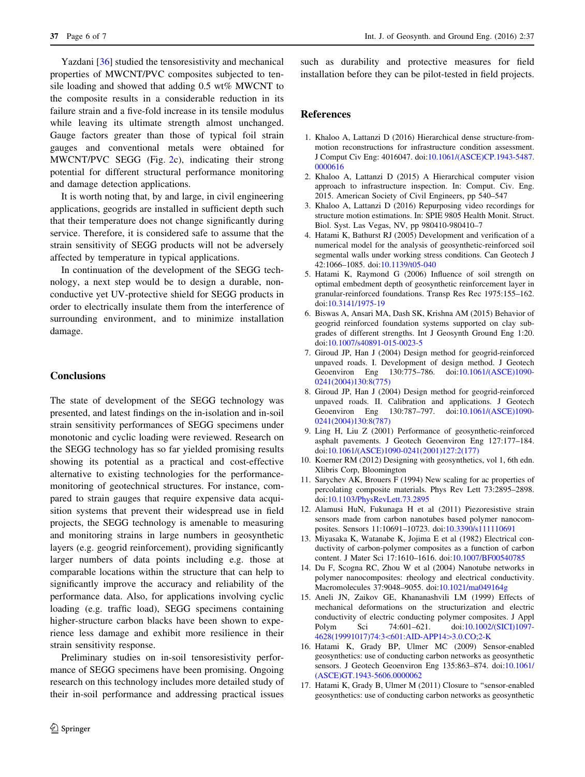<span id="page-5-0"></span>Yazdani [[36\]](#page-6-0) studied the tensoresistivity and mechanical properties of MWCNT/PVC composites subjected to tensile loading and showed that adding 0.5 wt% MWCNT to the composite results in a considerable reduction in its failure strain and a five-fold increase in its tensile modulus while leaving its ultimate strength almost unchanged. Gauge factors greater than those of typical foil strain gauges and conventional metals were obtained for MWCNT/PVC SEGG (Fig. [2](#page-3-0)c), indicating their strong potential for different structural performance monitoring and damage detection applications.

It is worth noting that, by and large, in civil engineering applications, geogrids are installed in sufficient depth such that their temperature does not change significantly during service. Therefore, it is considered safe to assume that the strain sensitivity of SEGG products will not be adversely affected by temperature in typical applications.

In continuation of the development of the SEGG technology, a next step would be to design a durable, nonconductive yet UV-protective shield for SEGG products in order to electrically insulate them from the interference of surrounding environment, and to minimize installation damage.

# **Conclusions**

The state of development of the SEGG technology was presented, and latest findings on the in-isolation and in-soil strain sensitivity performances of SEGG specimens under monotonic and cyclic loading were reviewed. Research on the SEGG technology has so far yielded promising results showing its potential as a practical and cost-effective alternative to existing technologies for the performancemonitoring of geotechnical structures. For instance, compared to strain gauges that require expensive data acquisition systems that prevent their widespread use in field projects, the SEGG technology is amenable to measuring and monitoring strains in large numbers in geosynthetic layers (e.g. geogrid reinforcement), providing significantly larger numbers of data points including e.g. those at comparable locations within the structure that can help to significantly improve the accuracy and reliability of the performance data. Also, for applications involving cyclic loading (e.g. traffic load), SEGG specimens containing higher-structure carbon blacks have been shown to experience less damage and exhibit more resilience in their strain sensitivity response.

Preliminary studies on in-soil tensoresistivity performance of SEGG specimens have been promising. Ongoing research on this technology includes more detailed study of their in-soil performance and addressing practical issues

such as durability and protective measures for field installation before they can be pilot-tested in field projects.

# References

- 1. Khaloo A, Lattanzi D (2016) Hierarchical dense structure-frommotion reconstructions for infrastructure condition assessment. J Comput Civ Eng: 4016047. doi:[10.1061/\(ASCE\)CP.1943-5487.](http://dx.doi.org/10.1061/(ASCE)CP.1943-5487.0000616) [0000616](http://dx.doi.org/10.1061/(ASCE)CP.1943-5487.0000616)
- 2. Khaloo A, Lattanzi D (2015) A Hierarchical computer vision approach to infrastructure inspection. In: Comput. Civ. Eng. 2015. American Society of Civil Engineers, pp 540–547
- 3. Khaloo A, Lattanzi D (2016) Repurposing video recordings for structure motion estimations. In: SPIE 9805 Health Monit. Struct. Biol. Syst. Las Vegas, NV, pp 980410-980410–7
- 4. Hatami K, Bathurst RJ (2005) Development and verification of a numerical model for the analysis of geosynthetic-reinforced soil segmental walls under working stress conditions. Can Geotech J 42:1066–1085. doi:[10.1139/t05-040](http://dx.doi.org/10.1139/t05-040)
- 5. Hatami K, Raymond G (2006) Influence of soil strength on optimal embedment depth of geosynthetic reinforcement layer in granular-reinforced foundations. Transp Res Rec 1975:155–162. doi:[10.3141/1975-19](http://dx.doi.org/10.3141/1975-19)
- 6. Biswas A, Ansari MA, Dash SK, Krishna AM (2015) Behavior of geogrid reinforced foundation systems supported on clay subgrades of different strengths. Int J Geosynth Ground Eng 1:20. doi:[10.1007/s40891-015-0023-5](http://dx.doi.org/10.1007/s40891-015-0023-5)
- 7. Giroud JP, Han J (2004) Design method for geogrid-reinforced unpaved roads. I. Development of design method. J Geotech Geoenviron Eng 130:775–786. doi[:10.1061/\(ASCE\)1090-](http://dx.doi.org/10.1061/(ASCE)1090-0241(2004)130:8(775)) [0241\(2004\)130:8\(775\)](http://dx.doi.org/10.1061/(ASCE)1090-0241(2004)130:8(775))
- 8. Giroud JP, Han J (2004) Design method for geogrid-reinforced unpaved roads. II. Calibration and applications. J Geotech Geoenviron Eng 130:787–797. doi[:10.1061/\(ASCE\)1090-](http://dx.doi.org/10.1061/(ASCE)1090-0241(2004)130:8(787)) [0241\(2004\)130:8\(787\)](http://dx.doi.org/10.1061/(ASCE)1090-0241(2004)130:8(787))
- 9. Ling H, Liu Z (2001) Performance of geosynthetic-reinforced asphalt pavements. J Geotech Geoenviron Eng 127:177–184. doi:[10.1061/\(ASCE\)1090-0241\(2001\)127:2\(177\)](http://dx.doi.org/10.1061/(ASCE)1090-0241(2001)127:2(177))
- 10. Koerner RM (2012) Designing with geosynthetics, vol 1, 6th edn. Xlibris Corp, Bloomington
- 11. Sarychev AK, Brouers F (1994) New scaling for ac properties of percolating composite materials. Phys Rev Lett 73:2895–2898. doi:[10.1103/PhysRevLett.73.2895](http://dx.doi.org/10.1103/PhysRevLett.73.2895)
- 12. Alamusi HuN, Fukunaga H et al (2011) Piezoresistive strain sensors made from carbon nanotubes based polymer nanocomposites. Sensors 11:10691–10723. doi:[10.3390/s111110691](http://dx.doi.org/10.3390/s111110691)
- 13. Miyasaka K, Watanabe K, Jojima E et al (1982) Electrical conductivity of carbon-polymer composites as a function of carbon content. J Mater Sci 17:1610–1616. doi:[10.1007/BF00540785](http://dx.doi.org/10.1007/BF00540785)
- 14. Du F, Scogna RC, Zhou W et al (2004) Nanotube networks in polymer nanocomposites: rheology and electrical conductivity. Macromolecules 37:9048–9055. doi[:10.1021/ma049164g](http://dx.doi.org/10.1021/ma049164g)
- 15. Aneli JN, Zaikov GE, Khananashvili LM (1999) Effects of mechanical deformations on the structurization and electric conductivity of electric conducting polymer composites. J Appl Polym Sci 74:601–621. doi:[10.1002/\(SICI\)1097-](http://dx.doi.org/10.1002/(SICI)1097-4628(19991017)74:3%3c601:AID-APP14%3e3.0.CO;2-K) [4628\(19991017\)74:3](http://dx.doi.org/10.1002/(SICI)1097-4628(19991017)74:3%3c601:AID-APP14%3e3.0.CO;2-K)<601:AID-APP14>3.0.CO;2-K
- 16. Hatami K, Grady BP, Ulmer MC (2009) Sensor-enabled geosynthetics: use of conducting carbon networks as geosynthetic sensors. J Geotech Geoenviron Eng 135:863–874. doi[:10.1061/](http://dx.doi.org/10.1061/(ASCE)GT.1943-5606.0000062) [\(ASCE\)GT.1943-5606.0000062](http://dx.doi.org/10.1061/(ASCE)GT.1943-5606.0000062)
- 17. Hatami K, Grady B, Ulmer M (2011) Closure to ''sensor-enabled geosynthetics: use of conducting carbon networks as geosynthetic